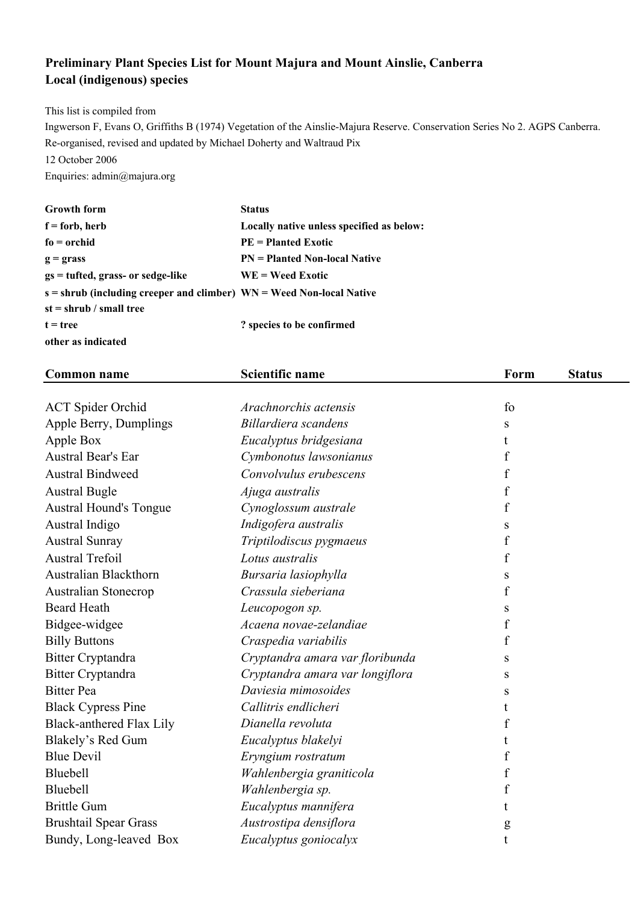## **Preliminary Plant Species List for Mount Majura and Mount Ainslie, Canberra Local (indigenous) species**

This list is compiled from

Ingwerson F, Evans O, Griffiths B (1974) Vegetation of the Ainslie-Majura Reserve. Conservation Series No 2. AGPS Canberra. Re-organised, revised and updated by Michael Doherty and Waltraud Pix

12 October 2006

Enquiries: admin@majura.org

| <b>Growth form</b>                                                     | <b>Status</b>                             |
|------------------------------------------------------------------------|-------------------------------------------|
| $f =$ forb, herb                                                       | Locally native unless specified as below: |
| $fo = orchid$                                                          | $PE = Planted Exotic$                     |
| $g =$ grass                                                            | <b>PN</b> = Planted Non-local Native      |
| $gs = tuffed, grass- or sedge-like$                                    | $WE = Weed Exotic$                        |
| $s =$ shrub (including creeper and climber) WN = Weed Non-local Native |                                           |
| $st = shrub / small tree$                                              |                                           |
| $t = tree$                                                             | ? species to be confirmed                 |
| other as indicated                                                     |                                           |

| <b>Common name</b>            | <b>Scientific name</b>          | Form             | <b>Status</b> |
|-------------------------------|---------------------------------|------------------|---------------|
|                               |                                 |                  |               |
| <b>ACT</b> Spider Orchid      | Arachnorchis actensis           | fo               |               |
| Apple Berry, Dumplings        | Billardiera scandens            | S                |               |
| Apple Box                     | Eucalyptus bridgesiana          | t                |               |
| Austral Bear's Ear            | Cymbonotus lawsonianus          | f                |               |
| <b>Austral Bindweed</b>       | Convolvulus erubescens          | f                |               |
| <b>Austral Bugle</b>          | Ajuga australis                 | $\boldsymbol{f}$ |               |
| <b>Austral Hound's Tongue</b> | Cynoglossum australe            | f                |               |
| Austral Indigo                | Indigofera australis            | S                |               |
| <b>Austral Sunray</b>         | Triptilodiscus pygmaeus         | $\mathbf f$      |               |
| <b>Austral Trefoil</b>        | Lotus australis                 | f                |               |
| Australian Blackthorn         | Bursaria lasiophylla            | S                |               |
| <b>Australian Stonecrop</b>   | Crassula sieberiana             | f                |               |
| <b>Beard Heath</b>            | Leucopogon sp.                  | S                |               |
| Bidgee-widgee                 | Acaena novae-zelandiae          | f                |               |
| <b>Billy Buttons</b>          | Craspedia variabilis            | f                |               |
| <b>Bitter Cryptandra</b>      | Cryptandra amara var floribunda | S                |               |
| <b>Bitter Cryptandra</b>      | Cryptandra amara var longiflora | ${\bf S}$        |               |
| <b>Bitter Pea</b>             | Daviesia mimosoides             | S                |               |
| <b>Black Cypress Pine</b>     | Callitris endlicheri            | t                |               |
| Black-anthered Flax Lily      | Dianella revoluta               | f                |               |
| Blakely's Red Gum             | Eucalyptus blakelyi             | t                |               |
| <b>Blue Devil</b>             | Eryngium rostratum              | f                |               |
| Bluebell                      | Wahlenbergia graniticola        | f                |               |
| Bluebell                      | Wahlenbergia sp.                | f                |               |
| <b>Brittle Gum</b>            | Eucalyptus mannifera            | t.               |               |
| <b>Brushtail Spear Grass</b>  | Austrostipa densiflora          | g                |               |
| Bundy, Long-leaved Box        | Eucalyptus goniocalyx           | t                |               |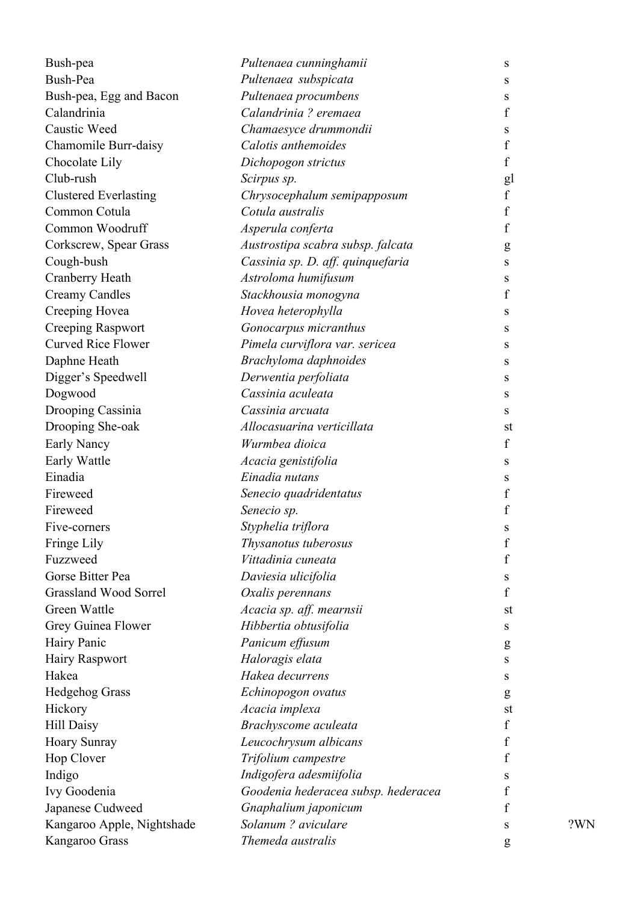| Bush-pea                     | Pultenaea cunninghamii              | S                |     |
|------------------------------|-------------------------------------|------------------|-----|
| Bush-Pea                     | Pultenaea subspicata                | S                |     |
| Bush-pea, Egg and Bacon      | Pultenaea procumbens                | S                |     |
| Calandrinia                  | Calandrinia ? eremaea               | $\mathbf f$      |     |
| Caustic Weed                 | Chamaesyce drummondii               | S                |     |
| Chamomile Burr-daisy         | Calotis anthemoides                 | $\boldsymbol{f}$ |     |
| Chocolate Lily               | Dichopogon strictus                 | $\mathbf f$      |     |
| Club-rush                    | Scirpus sp.                         | gl               |     |
| <b>Clustered Everlasting</b> | Chrysocephalum semipapposum         | $\mathbf f$      |     |
| Common Cotula                | Cotula australis                    | $\boldsymbol{f}$ |     |
| Common Woodruff              | Asperula conferta                   | f                |     |
| Corkscrew, Spear Grass       | Austrostipa scabra subsp. falcata   | g                |     |
| Cough-bush                   | Cassinia sp. D. aff. quinquefaria   | S                |     |
| Cranberry Heath              | Astroloma humifusum                 | S                |     |
| <b>Creamy Candles</b>        | Stackhousia monogyna                | f                |     |
| Creeping Hovea               | Hovea heterophylla                  | S                |     |
| <b>Creeping Raspwort</b>     | Gonocarpus micranthus               | S                |     |
| <b>Curved Rice Flower</b>    | Pimela curviflora var. sericea      | S                |     |
| Daphne Heath                 | Brachyloma daphnoides               | S                |     |
| Digger's Speedwell           | Derwentia perfoliata                | S                |     |
| Dogwood                      | Cassinia aculeata                   | S                |     |
| Drooping Cassinia            | Cassinia arcuata                    | S                |     |
| Drooping She-oak             | Allocasuarina verticillata          | st               |     |
| Early Nancy                  | Wurmbea dioica                      | $\mathbf f$      |     |
| Early Wattle                 | Acacia genistifolia                 | S                |     |
| Einadia                      | Einadia nutans                      | S                |     |
| Fireweed                     | Senecio quadridentatus              | $\boldsymbol{f}$ |     |
| Fireweed                     | Senecio sp.                         | $\boldsymbol{f}$ |     |
| Five-corners                 | Styphelia triflora                  | S                |     |
| Fringe Lily                  | Thysanotus tuberosus                | f                |     |
| Fuzzweed                     | Vittadinia cuneata                  | $\boldsymbol{f}$ |     |
| Gorse Bitter Pea             | Daviesia ulicifolia                 | S                |     |
| <b>Grassland Wood Sorrel</b> | Oxalis perennans                    | f                |     |
| Green Wattle                 | Acacia sp. aff. mearnsii            | st               |     |
| Grey Guinea Flower           | Hibbertia obtusifolia               | S                |     |
| Hairy Panic                  | Panicum effusum                     | g                |     |
| Hairy Raspwort               | Haloragis elata                     | S                |     |
| Hakea                        | Hakea decurrens                     | S                |     |
| <b>Hedgehog Grass</b>        | Echinopogon ovatus                  | g                |     |
| Hickory                      | Acacia implexa                      | st               |     |
| <b>Hill Daisy</b>            | Brachyscome aculeata                | $\boldsymbol{f}$ |     |
| <b>Hoary Sunray</b>          | Leucochrysum albicans               | f                |     |
| Hop Clover                   | Trifolium campestre                 | f                |     |
| Indigo                       | Indigofera adesmiifolia             | S                |     |
| Ivy Goodenia                 | Goodenia hederacea subsp. hederacea | f                |     |
| Japanese Cudweed             | Gnaphalium japonicum                | f                |     |
| Kangaroo Apple, Nightshade   | Solanum ? aviculare                 | S                | ?WN |
| Kangaroo Grass               | Themeda australis                   |                  |     |
|                              |                                     | g                |     |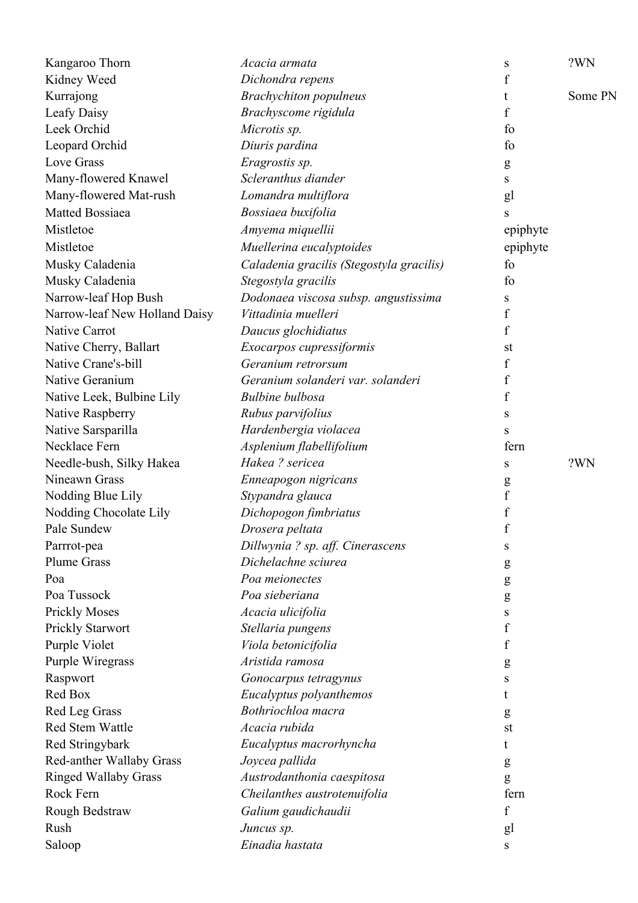| Kangaroo Thorn                | Acacia armata                            | S                | ?WN     |
|-------------------------------|------------------------------------------|------------------|---------|
| Kidney Weed                   | Dichondra repens                         | f                |         |
| Kurrajong                     | <b>Brachychiton</b> populneus            | t                | Some PN |
| Leafy Daisy                   | Brachyscome rigidula                     | f                |         |
| Leek Orchid                   | Microtis sp.                             | fo               |         |
| Leopard Orchid                | Diuris pardina                           | fo               |         |
| Love Grass                    | Eragrostis sp.                           | g                |         |
| Many-flowered Knawel          | Scleranthus diander                      | S                |         |
| Many-flowered Mat-rush        | Lomandra multiflora                      | gl               |         |
| Matted Bossiaea               | Bossiaea buxifolia                       | S                |         |
| Mistletoe                     | Amyema miquellii                         | epiphyte         |         |
| Mistletoe                     | Muellerina eucalyptoides                 | epiphyte         |         |
| Musky Caladenia               | Caladenia gracilis (Stegostyla gracilis) | fo               |         |
| Musky Caladenia               | Stegostyla gracilis                      | fo               |         |
| Narrow-leaf Hop Bush          | Dodonaea viscosa subsp. angustissima     | S                |         |
| Narrow-leaf New Holland Daisy | Vittadinia muelleri                      | f                |         |
| <b>Native Carrot</b>          | Daucus glochidiatus                      | f                |         |
| Native Cherry, Ballart        | Exocarpos cupressiformis                 | st               |         |
| Native Crane's-bill           | Geranium retrorsum                       | f                |         |
| Native Geranium               | Geranium solanderi var. solanderi        | $\boldsymbol{f}$ |         |
| Native Leek, Bulbine Lily     | <b>Bulbine</b> bulbosa                   | f                |         |
| Native Raspberry              | Rubus parvifolius                        | S                |         |
| Native Sarsparilla            | Hardenbergia violacea                    | S                |         |
| Necklace Fern                 | Asplenium flabellifolium                 | fern             |         |
| Needle-bush, Silky Hakea      | Hakea? sericea                           | S                | ?WN     |
| Nineawn Grass                 | Enneapogon nigricans                     | g                |         |
| Nodding Blue Lily             | Stypandra glauca                         | $\rm f$          |         |
| Nodding Chocolate Lily        | Dichopogon fimbriatus                    | $\mathbf f$      |         |
| Pale Sundew                   | Drosera peltata                          | $\boldsymbol{f}$ |         |
| Parrrot-pea                   | Dillwynia ? sp. aff. Cinerascens         | S                |         |
| <b>Plume Grass</b>            | Dichelachne sciurea                      | g                |         |
| Poa                           | Poa meionectes                           | g                |         |
| Poa Tussock                   | Poa sieberiana                           | g                |         |
| <b>Prickly Moses</b>          | Acacia ulicifolia                        | S                |         |
| <b>Prickly Starwort</b>       | Stellaria pungens                        | f                |         |
| Purple Violet                 | Viola betonicifolia                      | f                |         |
| Purple Wiregrass              | Aristida ramosa                          | g                |         |
| Raspwort                      | Gonocarpus tetragynus                    | S                |         |
| Red Box                       | Eucalyptus polyanthemos                  | t                |         |
| Red Leg Grass                 | Bothriochloa macra                       | g                |         |
| Red Stem Wattle               | Acacia rubida                            | st               |         |
| Red Stringybark               | Eucalyptus macrorhyncha                  | t                |         |
| Red-anther Wallaby Grass      | Joycea pallida                           | g                |         |
| <b>Ringed Wallaby Grass</b>   | Austrodanthonia caespitosa               | g                |         |
| Rock Fern                     | Cheilanthes austrotenuifolia             | fern             |         |
| Rough Bedstraw                | Galium gaudichaudii                      | $\boldsymbol{f}$ |         |
| Rush                          | Juncus sp.                               | gl               |         |
| Saloop                        | Einadia hastata                          | S                |         |
|                               |                                          |                  |         |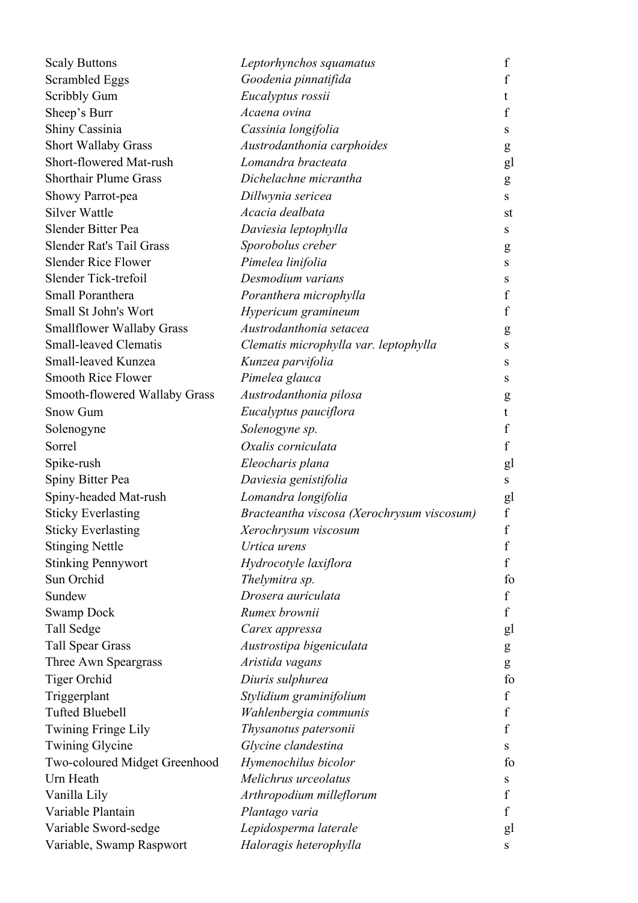| <b>Scaly Buttons</b>             | Leptorhynchos squamatus                    | $\mathbf f$      |
|----------------------------------|--------------------------------------------|------------------|
| Scrambled Eggs                   | Goodenia pinnatifida                       | $\mathbf f$      |
| <b>Scribbly Gum</b>              | Eucalyptus rossii                          | t                |
| Sheep's Burr                     | Acaena ovina                               | f                |
| Shiny Cassinia                   | Cassinia longifolia                        | S                |
| <b>Short Wallaby Grass</b>       | Austrodanthonia carphoides                 | g                |
| Short-flowered Mat-rush          | Lomandra bracteata                         | gl               |
| <b>Shorthair Plume Grass</b>     | Dichelachne micrantha                      | g                |
| Showy Parrot-pea                 | Dillwynia sericea                          | S                |
| <b>Silver Wattle</b>             | Acacia dealbata                            | st               |
| Slender Bitter Pea               | Daviesia leptophylla                       | S                |
| Slender Rat's Tail Grass         | Sporobolus creber                          | g                |
| <b>Slender Rice Flower</b>       | Pimelea linifolia                          | ${\bf S}$        |
| Slender Tick-trefoil             | Desmodium varians                          | S                |
| Small Poranthera                 | Poranthera microphylla                     | $\boldsymbol{f}$ |
| Small St John's Wort             | Hypericum gramineum                        | $\boldsymbol{f}$ |
| <b>Smallflower Wallaby Grass</b> | Austrodanthonia setacea                    | g                |
| <b>Small-leaved Clematis</b>     | Clematis microphylla var. leptophylla      | S                |
| Small-leaved Kunzea              | Kunzea parvifolia                          | S                |
| <b>Smooth Rice Flower</b>        | Pimelea glauca                             | S                |
| Smooth-flowered Wallaby Grass    | Austrodanthonia pilosa                     | g                |
| <b>Snow Gum</b>                  | Eucalyptus pauciflora                      | t                |
| Solenogyne                       | Solenogyne sp.                             | f                |
| Sorrel                           | Oxalis corniculata                         | $\boldsymbol{f}$ |
| Spike-rush                       | Eleocharis plana                           | gl               |
| Spiny Bitter Pea                 | Daviesia genistifolia                      | ${\bf S}$        |
| Spiny-headed Mat-rush            | Lomandra longifolia                        | gl               |
| <b>Sticky Everlasting</b>        | Bracteantha viscosa (Xerochrysum viscosum) | $\mathbf f$      |
| <b>Sticky Everlasting</b>        | Xerochrysum viscosum                       | $\mathbf f$      |
| <b>Stinging Nettle</b>           | Urtica urens                               | f                |
| <b>Stinking Pennywort</b>        | Hydrocotyle laxiflora                      | $\boldsymbol{f}$ |
| Sun Orchid                       | Thelymitra sp.                             | fo               |
| Sundew                           | Drosera auriculata                         | $\boldsymbol{f}$ |
| <b>Swamp Dock</b>                | Rumex brownii                              | f                |
| Tall Sedge                       | Carex appressa                             | gl               |
| <b>Tall Spear Grass</b>          | Austrostipa bigeniculata                   | g                |
| Three Awn Speargrass             | Aristida vagans                            | ${\bf g}$        |
| Tiger Orchid                     | Diuris sulphurea                           | fo               |
| Triggerplant                     | Stylidium graminifolium                    | $\boldsymbol{f}$ |
| <b>Tufted Bluebell</b>           | Wahlenbergia communis                      | $\mathbf f$      |
| Twining Fringe Lily              | Thysanotus patersonii                      | $\boldsymbol{f}$ |
| <b>Twining Glycine</b>           | Glycine clandestina                        | S                |
| Two-coloured Midget Greenhood    | Hymenochilus bicolor                       | fo               |
| Urn Heath                        | Melichrus urceolatus                       | S                |
| Vanilla Lily                     | Arthropodium milleflorum                   | $\boldsymbol{f}$ |
| Variable Plantain                | Plantago varia                             | f                |
| Variable Sword-sedge             | Lepidosperma laterale                      | gl               |
| Variable, Swamp Raspwort         | Haloragis heterophylla                     | ${\bf S}$        |